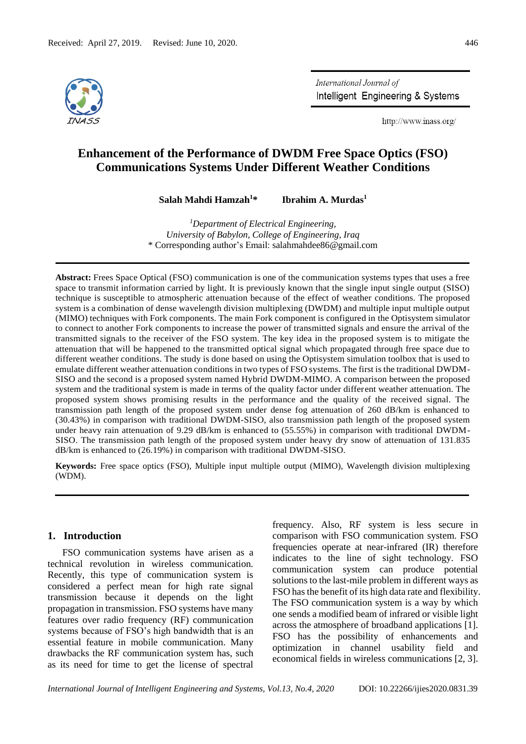

International Journal of Intelligent Engineering & Systems

http://www.inass.org/

# **Enhancement of the Performance of DWDM Free Space Optics (FSO) Communications Systems Under Different Weather Conditions**

**Salah Mahdi Hamzah<sup>1</sup>\* Ibrahim A. Murdas<sup>1</sup>**

*<sup>1</sup>Department of Electrical Engineering, University of Babylon, College of Engineering, Iraq* \* Corresponding author's Email: salahmahdee86@gmail.com

**Abstract:** Frees Space Optical (FSO) communication is one of the communication systems types that uses a free space to transmit information carried by light. It is previously known that the single input single output (SISO) technique is susceptible to atmospheric attenuation because of the effect of weather conditions. The proposed system is a combination of dense wavelength division multiplexing (DWDM) and multiple input multiple output (MIMO) techniques with Fork components. The main Fork component is configured in the Optisystem simulator to connect to another Fork components to increase the power of transmitted signals and ensure the arrival of the transmitted signals to the receiver of the FSO system. The key idea in the proposed system is to mitigate the attenuation that will be happened to the transmitted optical signal which propagated through free space due to different weather conditions. The study is done based on using the Optisystem simulation toolbox that is used to emulate different weather attenuation conditions in two types of FSO systems. The first is the traditional DWDM-SISO and the second is a proposed system named Hybrid DWDM-MIMO. A comparison between the proposed system and the traditional system is made in terms of the quality factor under different weather attenuation. The proposed system shows promising results in the performance and the quality of the received signal. The transmission path length of the proposed system under dense fog attenuation of 260 dB/km is enhanced to (30.43%) in comparison with traditional DWDM-SISO, also transmission path length of the proposed system under heavy rain attenuation of 9.29 dB/km is enhanced to (55.55%) in comparison with traditional DWDM-SISO. The transmission path length of the proposed system under heavy dry snow of attenuation of 131.835 dB/km is enhanced to (26.19%) in comparison with traditional DWDM-SISO.

**Keywords:** Free space optics (FSO), Multiple input multiple output (MIMO), Wavelength division multiplexing (WDM).

# **1. Introduction**

FSO communication systems have arisen as a technical revolution in wireless communication. Recently, this type of communication system is considered a perfect mean for high rate signal transmission because it depends on the light propagation in transmission. FSO systems have many features over radio frequency (RF) communication systems because of FSO's high bandwidth that is an essential feature in mobile communication. Many drawbacks the RF communication system has, such as its need for time to get the license of spectral

frequency. Also, RF system is less secure in comparison with FSO communication system. FSO frequencies operate at near-infrared (IR) therefore indicates to the line of sight technology. FSO communication system can produce potential solutions to the last-mile problem in different ways as FSO has the benefit of its high data rate and flexibility. The FSO communication system is a way by which one sends a modified beam of infrared or visible light across the atmosphere of broadband applications [1]. FSO has the possibility of enhancements and optimization in channel usability field and economical fields in wireless communications [2, 3].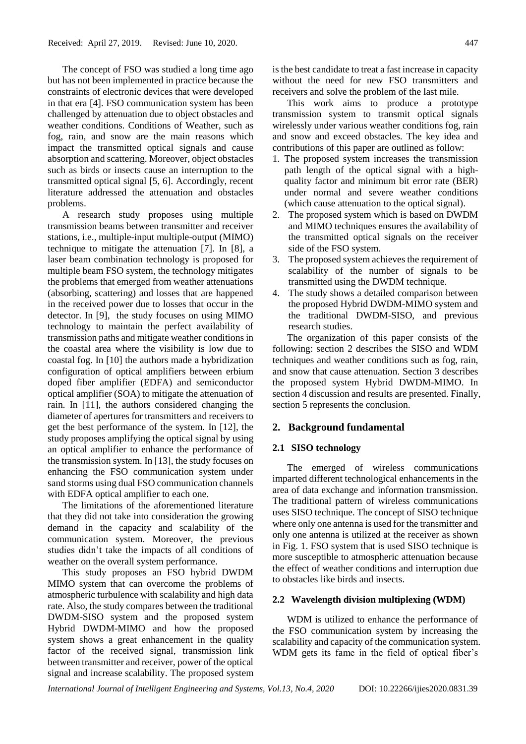The concept of FSO was studied a long time ago but has not been implemented in practice because the constraints of electronic devices that were developed in that era [4]. FSO communication system has been challenged by attenuation due to object obstacles and weather conditions. Conditions of Weather, such as fog, rain, and snow are the main reasons which impact the transmitted optical signals and cause absorption and scattering. Moreover, object obstacles such as birds or insects cause an interruption to the transmitted optical signal [5, 6]. Accordingly, recent literature addressed the attenuation and obstacles problems.

A research study proposes using multiple transmission beams between transmitter and receiver stations, i.e., multiple-input multiple-output (MIMO) technique to mitigate the attenuation [7]. In [8], a laser beam combination technology is proposed for multiple beam FSO system, the technology mitigates the problems that emerged from weather attenuations (absorbing, scattering) and losses that are happened in the received power due to losses that occur in the detector. In [9], the study focuses on using MIMO technology to maintain the perfect availability of transmission paths and mitigate weather conditions in the coastal area where the visibility is low due to coastal fog. In [10] the authors made a hybridization configuration of optical amplifiers between erbium doped fiber amplifier (EDFA) and semiconductor optical amplifier (SOA) to mitigate the attenuation of rain. In [11], the authors considered changing the diameter of apertures for transmitters and receivers to get the best performance of the system. In [12], the study proposes amplifying the optical signal by using an optical amplifier to enhance the performance of the transmission system. In [13], the study focuses on enhancing the FSO communication system under sand storms using dual FSO communication channels with EDFA optical amplifier to each one.

The limitations of the aforementioned literature that they did not take into consideration the growing demand in the capacity and scalability of the communication system. Moreover, the previous studies didn't take the impacts of all conditions of weather on the overall system performance.

This study proposes an FSO hybrid DWDM MIMO system that can overcome the problems of atmospheric turbulence with scalability and high data rate. Also, the study compares between the traditional DWDM-SISO system and the proposed system Hybrid DWDM-MIMO and how the proposed system shows a great enhancement in the quality factor of the received signal, transmission link between transmitter and receiver, power of the optical signal and increase scalability. The proposed system

is the best candidate to treat a fast increase in capacity without the need for new FSO transmitters and receivers and solve the problem of the last mile.

This work aims to produce a prototype transmission system to transmit optical signals wirelessly under various weather conditions fog, rain and snow and exceed obstacles. The key idea and contributions of this paper are outlined as follow:

- 1. The proposed system increases the transmission path length of the optical signal with a highquality factor and minimum bit error rate (BER) under normal and severe weather conditions (which cause attenuation to the optical signal).
- 2. The proposed system which is based on DWDM and MIMO techniques ensures the availability of the transmitted optical signals on the receiver side of the FSO system.
- 3. The proposed system achieves the requirement of scalability of the number of signals to be transmitted using the DWDM technique.
- 4. The study shows a detailed comparison between the proposed Hybrid DWDM-MIMO system and the traditional DWDM-SISO, and previous research studies.

The organization of this paper consists of the following: section 2 describes the SISO and WDM techniques and weather conditions such as fog, rain, and snow that cause attenuation. Section 3 describes the proposed system Hybrid DWDM-MIMO. In section 4 discussion and results are presented. Finally, section 5 represents the conclusion.

### **2. Background fundamental**

### **2.1 SISO technology**

The emerged of wireless communications imparted different technological enhancements in the area of data exchange and information transmission. The traditional pattern of wireless communications uses SISO technique. The concept of SISO technique where only one antenna is used for the transmitter and only one antenna is utilized at the receiver as shown in Fig. 1. FSO system that is used SISO technique is more susceptible to atmospheric attenuation because the effect of weather conditions and interruption due to obstacles like birds and insects.

#### **2.2 Wavelength division multiplexing (WDM)**

WDM is utilized to enhance the performance of the FSO communication system by increasing the scalability and capacity of the communication system. WDM gets its fame in the field of optical fiber's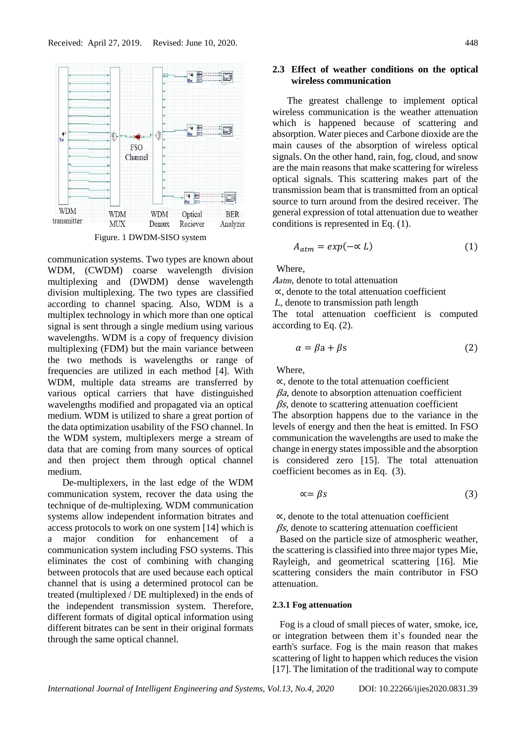

communication systems. Two types are known about WDM, (CWDM) coarse wavelength division multiplexing and (DWDM) dense wavelength division multiplexing. The two types are classified according to channel spacing. Also, WDM is a multiplex technology in which more than one optical signal is sent through a single medium using various wavelengths. WDM is a copy of frequency division multiplexing (FDM) but the main variance between the two methods is wavelengths or range of frequencies are utilized in each method [4]. With WDM, multiple data streams are transferred by various optical carriers that have distinguished wavelengths modified and propagated via an optical medium. WDM is utilized to share a great portion of the data optimization usability of the FSO channel. In the WDM system, multiplexers merge a stream of data that are coming from many sources of optical and then project them through optical channel medium.

De-multiplexers, in the last edge of the WDM communication system, recover the data using the technique of de-multiplexing. WDM communication systems allow independent information bitrates and access protocols to work on one system [14] which is a major condition for enhancement of a communication system including FSO systems. This eliminates the cost of combining with changing between protocols that are used because each optical channel that is using a determined protocol can be treated (multiplexed / DE multiplexed) in the ends of the independent transmission system. Therefore, different formats of digital optical information using different bitrates can be sent in their original formats through the same optical channel.

# **2.3 Effect of weather conditions on the optical wireless communication**

The greatest challenge to implement optical wireless communication is the weather attenuation which is happened because of scattering and absorption. Water pieces and Carbone dioxide are the main causes of the absorption of wireless optical signals. On the other hand, rain, fog, cloud, and snow are the main reasons that make scattering for wireless optical signals. This scattering makes part of the transmission beam that is transmitted from an optical source to turn around from the desired receiver. The general expression of total attenuation due to weather conditions is represented in Eq. (1).

$$
A_{atm} = exp(-\alpha L) \tag{1}
$$

**Where** 

<sup>A</sup>atm, denote to total attenuation

∝, denote to the total attenuation coefficient

*L*, denote to transmission path length

The total attenuation coefficient is computed according to Eq. (2).

$$
\alpha = \beta a + \beta s \tag{2}
$$

Where,

∝, denote to the total attenuation coefficient βa*,* denote to absorption attenuation coefficient  $\beta s$ , denote to scattering attenuation coefficient The absorption happens due to the variance in the levels of energy and then the heat is emitted. In FSO communication the wavelengths are used to make the change in energy states impossible and the absorption is considered zero [15]. The total attenuation coefficient becomes as in Eq. (3).

$$
\alpha = \beta s \tag{3}
$$

∝, denote to the total attenuation coefficient

 $\beta s$ , denote to scattering attenuation coefficient

 Based on the particle size of atmospheric weather, the scattering is classified into three major types Mie, Rayleigh, and geometrical scattering [16]. Mie scattering considers the main contributor in FSO attenuation.

# **2.3.1 Fog attenuation**

 Fog is a cloud of small pieces of water, smoke, ice, or integration between them it's founded near the earth's surface. Fog is the main reason that makes scattering of light to happen which reduces the vision [17]. The limitation of the traditional way to compute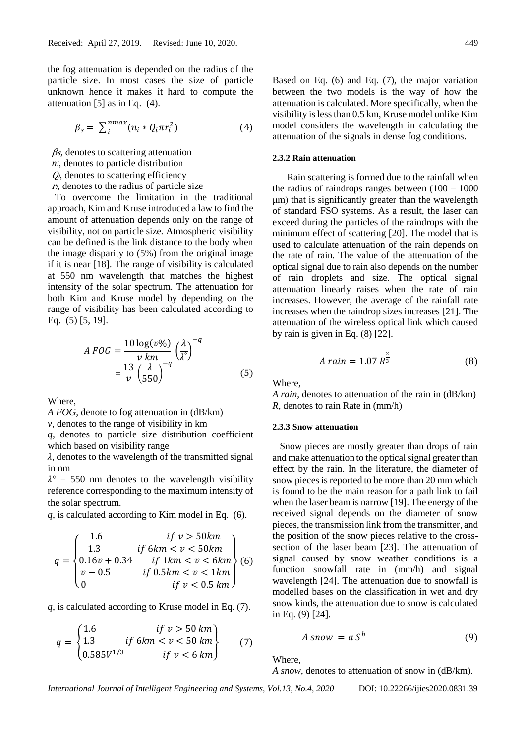the fog attenuation is depended on the radius of the particle size. In most cases the size of particle unknown hence it makes it hard to compute the attenuation [5] as in Eq. (4).

$$
\beta_s = \sum_{i}^{n \max}(n_i * Q_i \pi r_i^2) \tag{4}
$$

βs*,* denotes to scattering attenuation

- $Q_i$ , denotes to scattering efficiency
- $r_i$ , denotes to the radius of particle size

 To overcome the limitation in the traditional approach, Kim and Kruse introduced a law to find the amount of attenuation depends only on the range of visibility, not on particle size*.* Atmospheric visibility can be defined is the link distance to the body when the image disparity to (5%) from the original image if it is near [18]. The range of visibility is calculated at 550 nm wavelength that matches the highest intensity of the solar spectrum. The attenuation for both Kim and Kruse model by depending on the range of visibility has been calculated according to Eq. (5) [5, 19].

$$
A\,FOG = \frac{10\log(v\%)}{v\,km}}{\frac{13}{v}\left(\frac{\lambda}{550}\right)^{-q}}\left(\frac{\lambda}{\lambda^{\circ}}\right)^{-q}
$$
\n
$$
(5)
$$

Where,

*A FOG,* denote to fog attenuation in (dB/km)

*v,* denotes to the range of visibility in km

*q,* denotes to particle size distribution coefficient which based on visibility range

*λ,* denotes to the wavelength of the transmitted signal in nm

 $\lambda^{\circ}$  = 550 nm denotes to the wavelength visibility reference corresponding to the maximum intensity of the solar spectrum.

*q*, is calculated according to Kim model in Eq. (6).

$$
q = \begin{cases} 1.6 & if \ v > 50km \\ 1.3 & if \ 6km < v < 50km \\ 0.16v + 0.34 & if \ 1km < v < 6km \\ v - 0.5 & if \ 0.5km < v < 1km \\ 0 & if \ v < 0.5 km \end{cases} \tag{6}
$$

*q*, is calculated according to Kruse model in Eq. (7).

$$
q = \begin{cases} 1.6 & if \ v > 50 \ km \\ 1.3 & if \ 6km < v < 50 \ km \\ 0.585 V^{1/3} & if \ v < 6 \ km \end{cases} \tag{7}
$$

Based on Eq. (6) and Eq. (7), the major variation between the two models is the way of how the attenuation is calculated. More specifically, when the visibility is less than 0.5 km, Kruse model unlike Kim model considers the wavelength in calculating the attenuation of the signals in dense fog conditions.

#### **2.3.2 Rain attenuation**

Rain scattering is formed due to the rainfall when the radius of raindrops ranges between  $(100 - 1000)$ μm) that is significantly greater than the wavelength of standard FSO systems. As a result, the laser can exceed during the particles of the raindrops with the minimum effect of scattering [20]. The model that is used to calculate attenuation of the rain depends on the rate of rain. The value of the attenuation of the optical signal due to rain also depends on the number of rain droplets and size. The optical signal attenuation linearly raises when the rate of rain increases. However, the average of the rainfall rate increases when the raindrop sizes increases [21]. The attenuation of the wireless optical link which caused by rain is given in Eq. (8) [22].

$$
A \, rain = 1.07 \, R^{\frac{2}{3}} \tag{8}
$$

Where,

*A rain*, denotes to attenuation of the rain in (dB/km) *R*, denotes to rain Rate in (mm/h)

#### **2.3.3 Snow attenuation**

 Snow pieces are mostly greater than drops of rain and make attenuation to the optical signal greater than effect by the rain. In the literature, the diameter of snow pieces is reported to be more than 20 mm which is found to be the main reason for a path link to fail when the laser beam is narrow [19]. The energy of the received signal depends on the diameter of snow pieces, the transmission link from the transmitter, and the position of the snow pieces relative to the crosssection of the laser beam [23]. The attenuation of signal caused by snow weather conditions is a function snowfall rate in (mm/h) and signal wavelength [24]. The attenuation due to snowfall is modelled bases on the classification in wet and dry snow kinds, the attenuation due to snow is calculated in Eq. (9) [24].

$$
A \text{ snow} = a \text{ } S^b \tag{9}
$$

#### Where,

*A snow,* denotes to attenuation of snow in (dB/km).

*ni*, denotes to particle distribution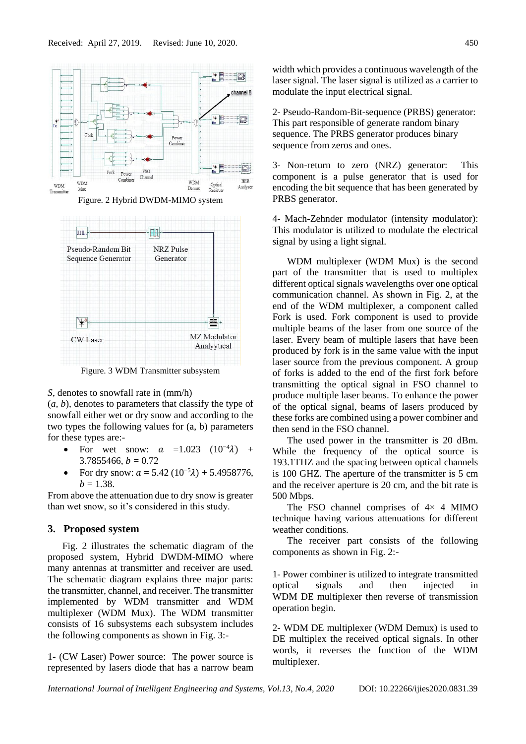

Figure. 3 WDM Transmitter subsystem

*S*, denotes to snowfall rate in (mm/h)

(*a, b*), denotes to parameters that classify the type of snowfall either wet or dry snow and according to the two types the following values for (a, b) parameters for these types are:-

- For wet snow:  $a =1.023$   $(10^{-4}\lambda)$  +  $3.7855466, h = 0.72$
- For dry snow:  $a = 5.42 (10^{-5} \lambda) + 5.4958776$ ,  $b = 1.38$ .

From above the attenuation due to dry snow is greater than wet snow, so it's considered in this study.

### **3. Proposed system**

Fig. 2 illustrates the schematic diagram of the proposed system, Hybrid DWDM-MIMO where many antennas at transmitter and receiver are used. The schematic diagram explains three major parts: the transmitter, channel, and receiver. The transmitter implemented by WDM transmitter and WDM multiplexer (WDM Mux). The WDM transmitter consists of 16 subsystems each subsystem includes the following components as shown in Fig. 3:-

1- (CW Laser) Power source: The power source is represented by lasers diode that has a narrow beam width which provides a continuous wavelength of the laser signal. The laser signal is utilized as a carrier to modulate the input electrical signal.

2- Pseudo-Random-Bit-sequence (PRBS) generator: This part responsible of generate random binary sequence. The PRBS generator produces binary sequence from zeros and ones.

3- Non-return to zero (NRZ) generator: This component is a pulse generator that is used for encoding the bit sequence that has been generated by PRBS generator.

4- Mach-Zehnder modulator (intensity modulator): This modulator is utilized to modulate the electrical signal by using a light signal.

WDM multiplexer (WDM Mux) is the second part of the transmitter that is used to multiplex different optical signals wavelengths over one optical communication channel. As shown in Fig. 2, at the end of the WDM multiplexer, a component called Fork is used. Fork component is used to provide multiple beams of the laser from one source of the laser. Every beam of multiple lasers that have been produced by fork is in the same value with the input laser source from the previous component. A group of forks is added to the end of the first fork before transmitting the optical signal in FSO channel to produce multiple laser beams. To enhance the power of the optical signal, beams of lasers produced by these forks are combined using a power combiner and then send in the FSO channel.

The used power in the transmitter is 20 dBm. While the frequency of the optical source is 193.1THZ and the spacing between optical channels is 100 GHZ. The aperture of the transmitter is 5 cm and the receiver aperture is 20 cm, and the bit rate is 500 Mbps.

The FSO channel comprises of  $4 \times 4$  MIMO technique having various attenuations for different weather conditions.

The receiver part consists of the following components as shown in Fig. 2:-

1- Power combiner is utilized to integrate transmitted optical signals and then injected in WDM DE multiplexer then reverse of transmission operation begin.

2- WDM DE multiplexer (WDM Demux) is used to DE multiplex the received optical signals. In other words, it reverses the function of the WDM multiplexer.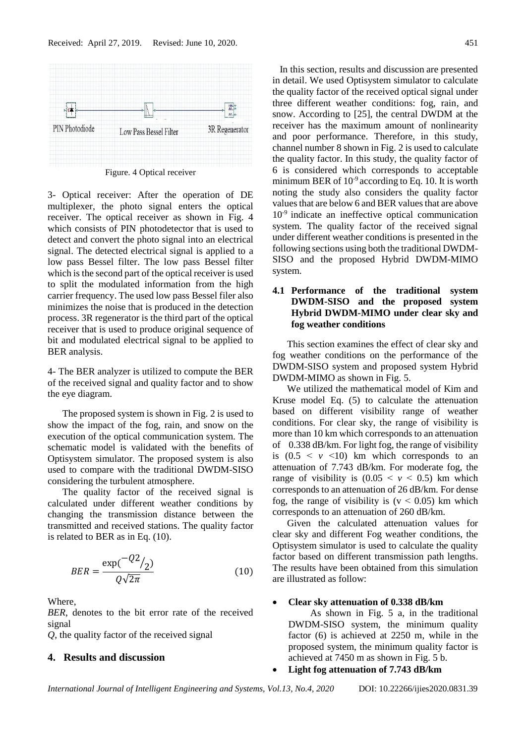

Figure. 4 Optical receiver

3- Optical receiver: After the operation of DE multiplexer, the photo signal enters the optical receiver. The optical receiver as shown in Fig. 4 which consists of PIN photodetector that is used to detect and convert the photo signal into an electrical signal. The detected electrical signal is applied to a low pass Bessel filter. The low pass Bessel filter which is the second part of the optical receiver is used to split the modulated information from the high carrier frequency. The used low pass Bessel filer also minimizes the noise that is produced in the detection process. 3R regenerator is the third part of the optical receiver that is used to produce original sequence of bit and modulated electrical signal to be applied to BER analysis.

4- The BER analyzer is utilized to compute the BER of the received signal and quality factor and to show the eye diagram.

The proposed system is shown in Fig. 2 is used to show the impact of the fog, rain, and snow on the execution of the optical communication system. The schematic model is validated with the benefits of Optisystem simulator. The proposed system is also used to compare with the traditional DWDM-SISO considering the turbulent atmosphere.

The quality factor of the received signal is calculated under different weather conditions by changing the transmission distance between the transmitted and received stations. The quality factor is related to BER as in Eq. (10).

$$
BER = \frac{\exp(\frac{-Q2}{2})}{Q\sqrt{2\pi}}\tag{10}
$$

Where,

*BER*, denotes to the bit error rate of the received signal

*Q*, the quality factor of the received signal

# **4. Results and discussion**

 In this section, results and discussion are presented in detail. We used Optisystem simulator to calculate the quality factor of the received optical signal under three different weather conditions: fog, rain, and snow. According to [25], the central DWDM at the receiver has the maximum amount of nonlinearity and poor performance. Therefore, in this study, channel number 8 shown in Fig. 2 is used to calculate the quality factor. In this study, the quality factor of 6 is considered which corresponds to acceptable minimum BER of  $10<sup>-9</sup>$  according to Eq. 10. It is worth noting the study also considers the quality factor values that are below 6 and BER values that are above  $10<sup>-9</sup>$  indicate an ineffective optical communication system. The quality factor of the received signal under different weather conditions is presented in the following sections using both the traditional DWDM-SISO and the proposed Hybrid DWDM-MIMO system.

### **4.1 Performance of the traditional system DWDM-SISO and the proposed system Hybrid DWDM-MIMO under clear sky and fog weather conditions**

This section examines the effect of clear sky and fog weather conditions on the performance of the DWDM-SISO system and proposed system Hybrid DWDM-MIMO as shown in Fig. 5.

We utilized the mathematical model of Kim and Kruse model Eq. (5) to calculate the attenuation based on different visibility range of weather conditions. For clear sky, the range of visibility is more than 10 km which corresponds to an attenuation of 0.338 dB/km. For light fog, the range of visibility is  $(0.5 \le v \le 10)$  km which corresponds to an attenuation of 7.743 dB/km. For moderate fog, the range of visibility is  $(0.05 \le y \le 0.5)$  km which corresponds to an attenuation of 26 dB/km. For dense fog, the range of visibility is  $(v < 0.05)$  km which corresponds to an attenuation of 260 dB/km.

Given the calculated attenuation values for clear sky and different Fog weather conditions, the Optisystem simulator is used to calculate the quality factor based on different transmission path lengths. The results have been obtained from this simulation are illustrated as follow:

#### • **Clear sky attenuation of 0.338 dB/km**

 As shown in Fig. 5 a, in the traditional DWDM-SISO system, the minimum quality factor (6) is achieved at 2250 m, while in the proposed system, the minimum quality factor is achieved at 7450 m as shown in Fig. 5 b.

• **Light fog attenuation of 7.743 dB/km**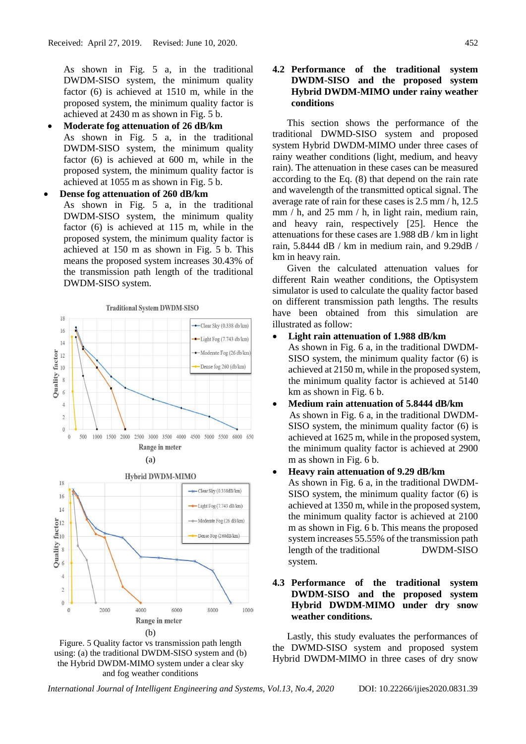As shown in Fig. 5 a, in the traditional DWDM-SISO system, the minimum quality factor (6) is achieved at 1510 m, while in the proposed system, the minimum quality factor is achieved at 2430 m as shown in Fig. 5 b.

• **Moderate fog attenuation of 26 dB/km**  As shown in Fig. 5 a, in the traditional DWDM-SISO system, the minimum quality factor (6) is achieved at 600 m, while in the proposed system, the minimum quality factor is achieved at 1055 m as shown in Fig. 5 b.

• **Dense fog attenuation of 260 dB/km** As shown in Fig. 5 a, in the traditional DWDM-SISO system, the minimum quality factor (6) is achieved at 115 m, while in the proposed system, the minimum quality factor is achieved at 150 m as shown in Fig. 5 b. This means the proposed system increases 30.43% of the transmission path length of the traditional DWDM-SISO system.







# **4.2 Performance of the traditional system DWDM-SISO and the proposed system Hybrid DWDM-MIMO under rainy weather conditions**

This section shows the performance of the traditional DWMD-SISO system and proposed system Hybrid DWDM-MIMO under three cases of rainy weather conditions (light, medium, and heavy rain). The attenuation in these cases can be measured according to the Eq. (8) that depend on the rain rate and wavelength of the transmitted optical signal. The average rate of rain for these cases is 2.5 mm / h, 12.5 mm / h, and 25 mm / h, in light rain, medium rain, and heavy rain, respectively [25]. Hence the attenuations for these cases are 1.988 dB / km in light rain, 5.8444 dB / km in medium rain, and 9.29dB / km in heavy rain.

Given the calculated attenuation values for different Rain weather conditions, the Optisystem simulator is used to calculate the quality factor based on different transmission path lengths. The results have been obtained from this simulation are illustrated as follow:

### • **Light rain attenuation of 1.988 dB/km**

As shown in Fig. 6 a, in the traditional DWDM-SISO system, the minimum quality factor (6) is achieved at 2150 m, while in the proposed system, the minimum quality factor is achieved at 5140 km as shown in Fig. 6 b.

• **Medium rain attenuation of 5.8444 dB/km** As shown in Fig. 6 a, in the traditional DWDM-SISO system, the minimum quality factor (6) is achieved at 1625 m, while in the proposed system, the minimum quality factor is achieved at 2900 m as shown in Fig. 6 b.

# • **Heavy rain attenuation of 9.29 dB/km** As shown in Fig. 6 a, in the traditional DWDM-SISO system, the minimum quality factor (6) is achieved at 1350 m, while in the proposed system, the minimum quality factor is achieved at 2100 m as shown in Fig. 6 b. This means the proposed system increases 55.55% of the transmission path length of the traditional DWDM-SISO system.

# **4.3 Performance of the traditional system DWDM-SISO and the proposed system Hybrid DWDM-MIMO under dry snow weather conditions.**

Lastly, this study evaluates the performances of the DWMD-SISO system and proposed system Hybrid DWDM-MIMO in three cases of dry snow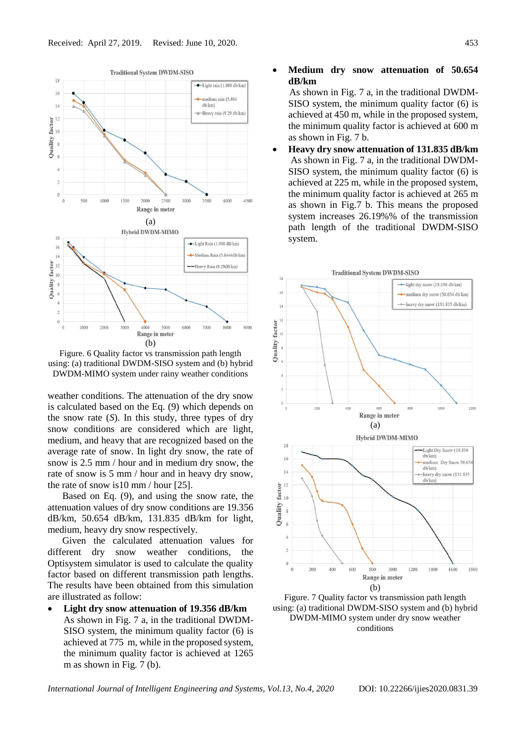



weather conditions. The attenuation of the dry snow is calculated based on the Eq. (9) which depends on the snow rate (*S*). In this study, three types of dry snow conditions are considered which are light, medium, and heavy that are recognized based on the average rate of snow. In light dry snow, the rate of snow is 2.5 mm / hour and in medium dry snow, the rate of snow is 5 mm / hour and in heavy dry snow, the rate of snow is10 mm / hour [25].

Based on Eq. (9), and using the snow rate, the attenuation values of dry snow conditions are 19.356 dB/km, 50.654 dB/km, 131.835 dB/km for light, medium, heavy dry snow respectively.

Given the calculated attenuation values for different dry snow weather conditions, the Optisystem simulator is used to calculate the quality factor based on different transmission path lengths. The results have been obtained from this simulation are illustrated as follow:

• **Light dry snow attenuation of 19.356 dB/km** As shown in Fig. 7 a, in the traditional DWDM-SISO system, the minimum quality factor (6) is achieved at 775 m, while in the proposed system, the minimum quality factor is achieved at 1265 m as shown in Fig. 7 (b).

#### • **Medium dry snow attenuation of 50.654 dB/km**

 As shown in Fig. 7 a, in the traditional DWDM-SISO system, the minimum quality factor (6) is achieved at 450 m, while in the proposed system, the minimum quality factor is achieved at 600 m as shown in Fig. 7 b.

• **Heavy dry snow attenuation of 131.835 dB/km** As shown in Fig. 7 a, in the traditional DWDM-SISO system, the minimum quality factor (6) is achieved at 225 m, while in the proposed system, the minimum quality factor is achieved at 265 m as shown in Fig.7 b. This means the proposed system increases 26.19%% of the transmission path length of the traditional DWDM-SISO system.



Figure. 7 Quality factor vs transmission path length using: (a) traditional DWDM-SISO system and (b) hybrid DWDM-MIMO system under dry snow weather conditions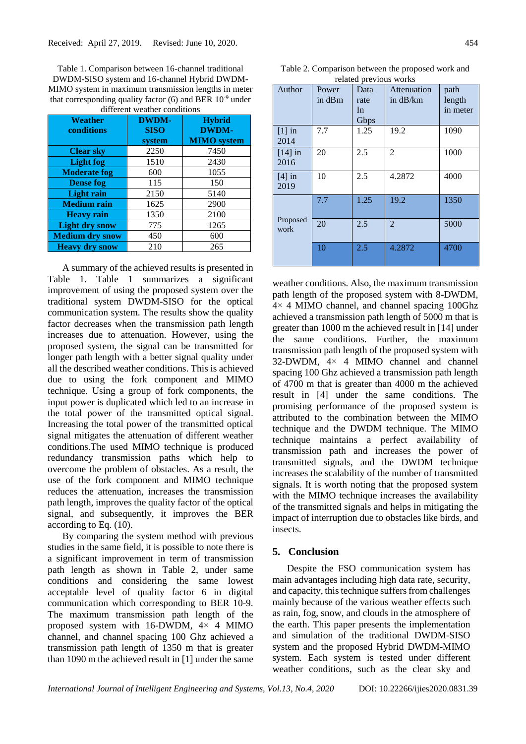Table 1. Comparison between 16-channel traditional DWDM-SISO system and 16-channel Hybrid DWDM-MIMO system in maximum transmission lengths in meter that corresponding quality factor  $(6)$  and BER  $10^{-9}$  under different weather condition

| Weather<br>conditions  | <b>DWDM-</b><br><b>SISO</b> | <b>Hybrid</b><br><b>DWDM-</b> |  |
|------------------------|-----------------------------|-------------------------------|--|
|                        | system                      | <b>MIMO</b> system            |  |
| <b>Clear sky</b>       | 2250                        | 7450                          |  |
| <b>Light fog</b>       | 1510                        | 2430                          |  |
| <b>Moderate fog</b>    | 600                         | 1055                          |  |
| <b>Dense fog</b>       | 115                         | 150                           |  |
| <b>Light rain</b>      | 2150                        | 5140                          |  |
| <b>Medium rain</b>     | 1625                        | 2900                          |  |
| <b>Heavy rain</b>      | 1350                        | 2100                          |  |
| <b>Light dry snow</b>  | 775                         | 1265                          |  |
| <b>Medium dry snow</b> | 450                         | 600                           |  |
| <b>Heavy dry snow</b>  | 210                         | 265                           |  |

A summary of the achieved results is presented in Table 1. Table 1 summarizes a significant improvement of using the proposed system over the traditional system DWDM-SISO for the optical communication system. The results show the quality factor decreases when the transmission path length increases due to attenuation. However, using the proposed system, the signal can be transmitted for longer path length with a better signal quality under all the described weather conditions. This is achieved due to using the fork component and MIMO technique. Using a group of fork components, the input power is duplicated which led to an increase in the total power of the transmitted optical signal. Increasing the total power of the transmitted optical signal mitigates the attenuation of different weather conditions.The used MIMO technique is produced redundancy transmission paths which help to overcome the problem of obstacles. As a result, the use of the fork component and MIMO technique reduces the attenuation, increases the transmission path length, improves the quality factor of the optical signal, and subsequently, it improves the BER according to Eq. (10).

By comparing the system method with previous studies in the same field, it is possible to note there is a significant improvement in term of transmission path length as shown in Table 2, under same conditions and considering the same lowest acceptable level of quality factor 6 in digital communication which corresponding to BER 10-9. The maximum transmission path length of the proposed system with 16-DWDM, 4× 4 MIMO channel, and channel spacing 100 Ghz achieved a transmission path length of 1350 m that is greater than 1090 m the achieved result in [1] under the same

|                                                        |  |  | Table 2. Comparison between the proposed work and |  |  |
|--------------------------------------------------------|--|--|---------------------------------------------------|--|--|
| المواليا والموالي والموالي والمستعمل المستقط المالونين |  |  |                                                   |  |  |

| related previous works |        |      |                |          |  |  |  |
|------------------------|--------|------|----------------|----------|--|--|--|
| Author                 | Power  | Data | Attenuation    | path     |  |  |  |
|                        | in dBm | rate | in $dB/km$     | length   |  |  |  |
|                        |        | In   |                | in meter |  |  |  |
|                        |        | Gbps |                |          |  |  |  |
| $[1]$ in               | 7.7    | 1.25 | 19.2           | 1090     |  |  |  |
| 2014                   |        |      |                |          |  |  |  |
| $[14]$ in              | 20     | 2.5  | 2              | 1000     |  |  |  |
| 2016                   |        |      |                |          |  |  |  |
| $[4]$ in               | 10     | 2.5  | 4.2872         | 4000     |  |  |  |
| 2019                   |        |      |                |          |  |  |  |
|                        | 7.7    | 1.25 | 19.2           | 1350     |  |  |  |
|                        |        |      |                |          |  |  |  |
| Proposed<br>work       | 20     | 2.5  | $\overline{2}$ | 5000     |  |  |  |
|                        |        |      |                |          |  |  |  |
|                        | 10     | 2.5  | 4.2872         | 4700     |  |  |  |
|                        |        |      |                |          |  |  |  |

weather conditions. Also, the maximum transmission path length of the proposed system with 8-DWDM, 4× 4 MIMO channel, and channel spacing 100Ghz achieved a transmission path length of 5000 m that is greater than 1000 m the achieved result in [14] under the same conditions. Further, the maximum transmission path length of the proposed system with 32-DWDM, 4× 4 MIMO channel and channel spacing 100 Ghz achieved a transmission path length of 4700 m that is greater than 4000 m the achieved result in [4] under the same conditions. The promising performance of the proposed system is attributed to the combination between the MIMO technique and the DWDM technique. The MIMO technique maintains a perfect availability of transmission path and increases the power of transmitted signals, and the DWDM technique increases the scalability of the number of transmitted signals. It is worth noting that the proposed system with the MIMO technique increases the availability of the transmitted signals and helps in mitigating the impact of interruption due to obstacles like birds, and insects.

# **5. Conclusion**

Despite the FSO communication system has main advantages including high data rate, security, and capacity, this technique suffers from challenges mainly because of the various weather effects such as rain, fog, snow, and clouds in the atmosphere of the earth. This paper presents the implementation and simulation of the traditional DWDM-SISO system and the proposed Hybrid DWDM-MIMO system. Each system is tested under different weather conditions, such as the clear sky and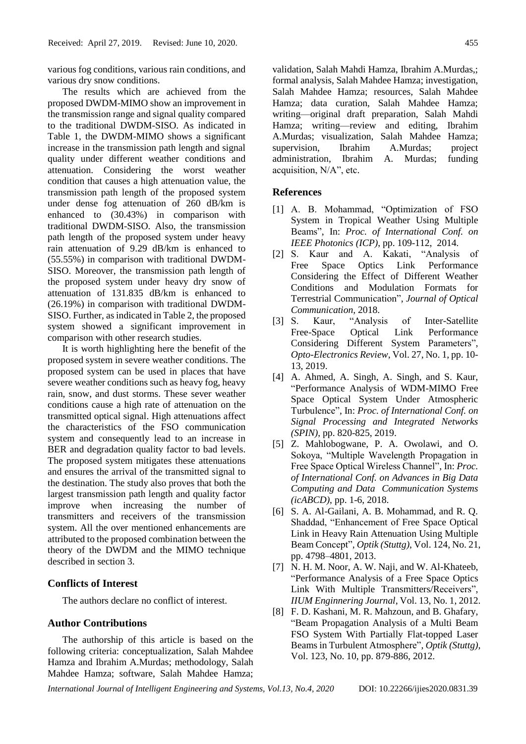various fog conditions, various rain conditions, and various dry snow conditions.

The results which are achieved from the proposed DWDM-MIMO show an improvement in the transmission range and signal quality compared to the traditional DWDM-SISO. As indicated in Table 1, the DWDM-MIMO shows a significant increase in the transmission path length and signal quality under different weather conditions and attenuation. Considering the worst weather condition that causes a high attenuation value, the transmission path length of the proposed system under dense fog attenuation of 260 dB/km is enhanced to (30.43%) in comparison with traditional DWDM-SISO. Also, the transmission path length of the proposed system under heavy rain attenuation of 9.29 dB/km is enhanced to (55.55%) in comparison with traditional DWDM-SISO. Moreover, the transmission path length of the proposed system under heavy dry snow of attenuation of 131.835 dB/km is enhanced to (26.19%) in comparison with traditional DWDM-SISO. Further, as indicated in Table 2, the proposed system showed a significant improvement in comparison with other research studies.

It is worth highlighting here the benefit of the proposed system in severe weather conditions. The proposed system can be used in places that have severe weather conditions such as heavy fog, heavy rain, snow, and dust storms. These sever weather conditions cause a high rate of attenuation on the transmitted optical signal. High attenuations affect the characteristics of the FSO communication system and consequently lead to an increase in BER and degradation quality factor to bad levels. The proposed system mitigates these attenuations and ensures the arrival of the transmitted signal to the destination. The study also proves that both the largest transmission path length and quality factor improve when increasing the number of transmitters and receivers of the transmission system. All the over mentioned enhancements are attributed to the proposed combination between the theory of the DWDM and the MIMO technique described in section 3.

# **Conflicts of Interest**

The authors declare no conflict of interest.

# **Author Contributions**

The authorship of this article is based on the following criteria: conceptualization, Salah Mahdee Hamza and Ibrahim A.Murdas; methodology, Salah Mahdee Hamza; software, Salah Mahdee Hamza;

validation, Salah Mahdi Hamza, Ibrahim A.Murdas,; formal analysis, Salah Mahdee Hamza; investigation, Salah Mahdee Hamza; resources, Salah Mahdee Hamza; data curation, Salah Mahdee Hamza; writing—original draft preparation, Salah Mahdi Hamza; writing—review and editing, Ibrahim A.Murdas; visualization, Salah Mahdee Hamza; supervision, Ibrahim A.Murdas; project administration, Ibrahim A. Murdas; funding acquisition, N/A", etc.

### **References**

- [1] A. B. Mohammad, "Optimization of FSO System in Tropical Weather Using Multiple Beams", In: *Proc. of International Conf. on IEEE Photonics (ICP)*, pp. 109-112, 2014*.*
- [2] S. Kaur and A. Kakati, "Analysis of Free Space Optics Link Performance Considering the Effect of Different Weather Conditions and Modulation Formats for Terrestrial Communication", *Journal of Optical Communication,* 2018.
- [3] S. Kaur, "Analysis of Inter-Satellite Free-Space Optical Link Performance Considering Different System Parameters", *Opto-Electronics Review*, Vol. 27, No. 1, pp. 10- 13, 2019.
- [4] A. Ahmed, A. Singh, A. Singh, and S. Kaur, "Performance Analysis of WDM-MIMO Free Space Optical System Under Atmospheric Turbulence", In: *Proc. of International Conf. on Signal Processing and Integrated Networks (SPIN)*, pp. 820-825, 2019.
- [5] Z. Mahlobogwane, P. A. Owolawi, and O. Sokoya, "Multiple Wavelength Propagation in Free Space Optical Wireless Channel", In: *Proc. of International Conf. on Advances in Big Data Computing and Data Communication Systems (icABCD)*, pp. 1-6, 2018.
- [6] S. A. Al-Gailani, A. B. Mohammad, and R. Q. Shaddad, "Enhancement of Free Space Optical Link in Heavy Rain Attenuation Using Multiple Beam Concept", *Optik (Stuttg)*, Vol. 124, No. 21, pp. 4798–4801, 2013.
- [7] N. H. M. Noor, A. W. Naji, and W. Al-Khateeb, "Performance Analysis of a Free Space Optics Link With Multiple Transmitters/Receivers", *IIUM Enginnering Journal*, Vol. 13, No. 1, 2012.
- [8] F. D. Kashani, M. R. Mahzoun, and B. Ghafary, "Beam Propagation Analysis of a Multi Beam FSO System With Partially Flat-topped Laser Beams in Turbulent Atmosphere", *Optik (Stuttg),* Vol. 123, No. 10, pp. 879-886, 2012.